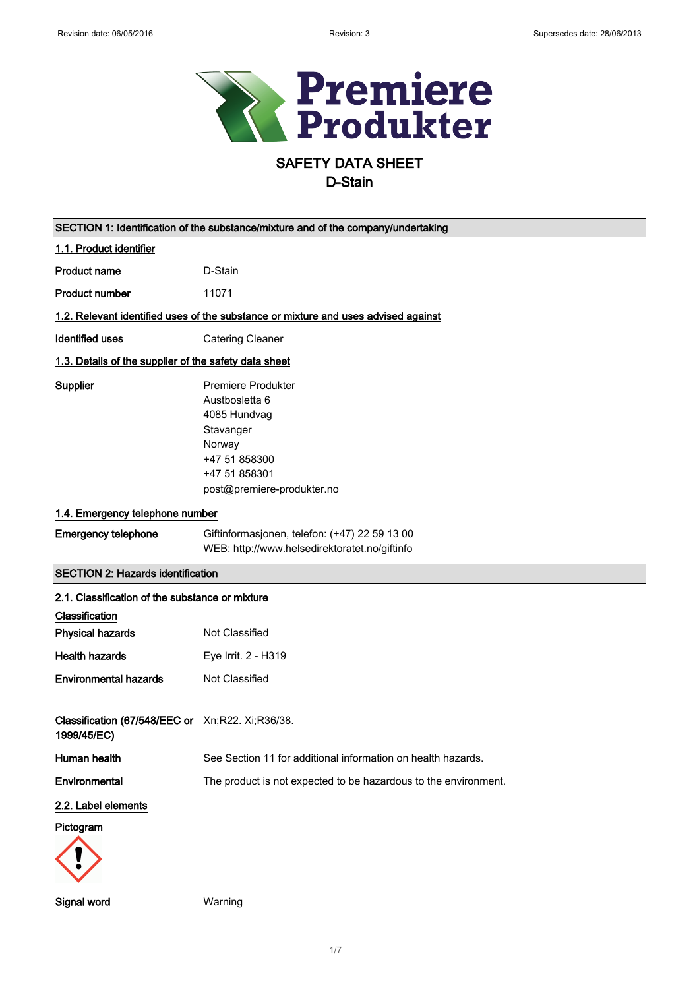

# SAFETY DATA SHEET

| SECTION 1: Identification of the substance/mixture and of the company/undertaking |                                                                                                                                                    |  |
|-----------------------------------------------------------------------------------|----------------------------------------------------------------------------------------------------------------------------------------------------|--|
| 1.1. Product identifier                                                           |                                                                                                                                                    |  |
| <b>Product name</b>                                                               | D-Stain                                                                                                                                            |  |
| <b>Product number</b>                                                             | 11071                                                                                                                                              |  |
|                                                                                   | 1.2. Relevant identified uses of the substance or mixture and uses advised against                                                                 |  |
| <b>Identified uses</b>                                                            | <b>Catering Cleaner</b>                                                                                                                            |  |
| 1.3. Details of the supplier of the safety data sheet                             |                                                                                                                                                    |  |
| Supplier                                                                          | <b>Premiere Produkter</b><br>Austbosletta 6<br>4085 Hundvag<br>Stavanger<br>Norway<br>+47 51 858300<br>+47 51 858301<br>post@premiere-produkter.no |  |
| 1.4. Emergency telephone number                                                   |                                                                                                                                                    |  |
| <b>Emergency telephone</b>                                                        | Giftinformasjonen, telefon: (+47) 22 59 13 00<br>WEB: http://www.helsedirektoratet.no/giftinfo                                                     |  |
| <b>SECTION 2: Hazards identification</b>                                          |                                                                                                                                                    |  |
| 2.1. Classification of the substance or mixture                                   |                                                                                                                                                    |  |
| Classification                                                                    |                                                                                                                                                    |  |
| <b>Physical hazards</b>                                                           | Not Classified                                                                                                                                     |  |
| <b>Health hazards</b>                                                             | Eye Irrit. 2 - H319                                                                                                                                |  |
| <b>Environmental hazards</b>                                                      | Not Classified                                                                                                                                     |  |
| Classification (67/548/EEC or Xn;R22. Xi;R36/38.<br>1999/45/EC)                   |                                                                                                                                                    |  |
| Human health                                                                      | See Section 11 for additional information on health hazards.                                                                                       |  |
| Environmental                                                                     | The product is not expected to be hazardous to the environment.                                                                                    |  |
| 2.2. Label elements                                                               |                                                                                                                                                    |  |
| Pictogram                                                                         |                                                                                                                                                    |  |
| Signal word                                                                       | Warning                                                                                                                                            |  |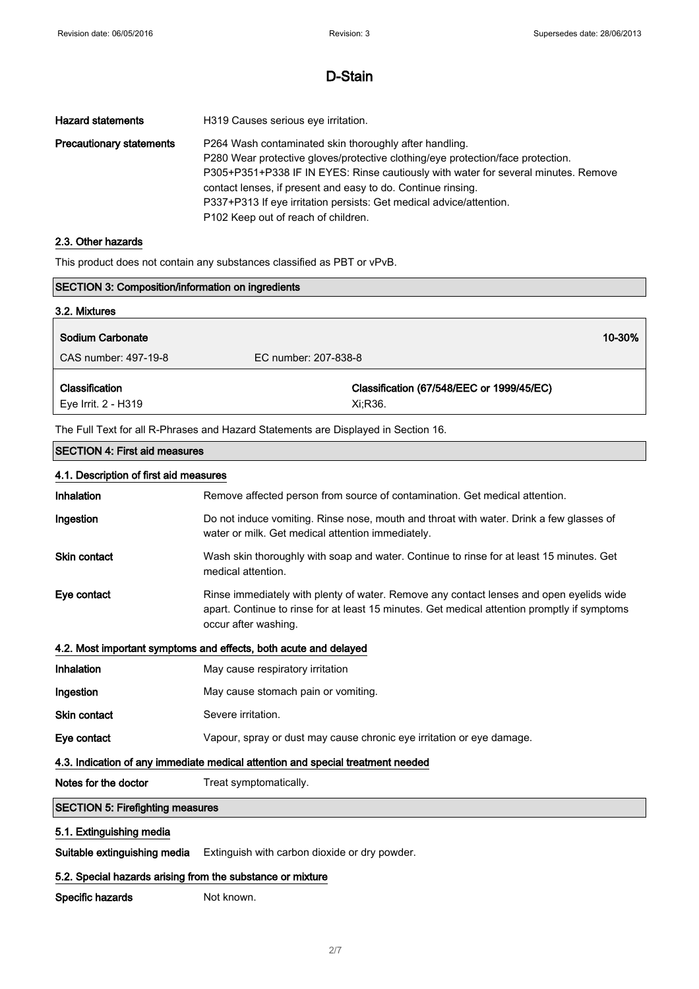| <b>Hazard statements</b>        | H319 Causes serious eye irritation.                                                                                                                                                                                                                                                                                                                                                                           |
|---------------------------------|---------------------------------------------------------------------------------------------------------------------------------------------------------------------------------------------------------------------------------------------------------------------------------------------------------------------------------------------------------------------------------------------------------------|
| <b>Precautionary statements</b> | P264 Wash contaminated skin thoroughly after handling.<br>P280 Wear protective gloves/protective clothing/eye protection/face protection.<br>P305+P351+P338 IF IN EYES: Rinse cautiously with water for several minutes. Remove<br>contact lenses, if present and easy to do. Continue rinsing.<br>P337+P313 If eye irritation persists: Get medical advice/attention.<br>P102 Keep out of reach of children. |

#### 2.3. Other hazards

 $\mathbf{r}$ 

This product does not contain any substances classified as PBT or vPvB.

| SECTION 3: Composition/information on ingredients                               |                                                                                                                                                                                                                 |
|---------------------------------------------------------------------------------|-----------------------------------------------------------------------------------------------------------------------------------------------------------------------------------------------------------------|
| 3.2. Mixtures                                                                   |                                                                                                                                                                                                                 |
| <b>Sodium Carbonate</b>                                                         | 10-30%                                                                                                                                                                                                          |
| CAS number: 497-19-8                                                            | EC number: 207-838-8                                                                                                                                                                                            |
| Classification                                                                  | Classification (67/548/EEC or 1999/45/EC)                                                                                                                                                                       |
| Eye Irrit. 2 - H319                                                             | Xi;R36.                                                                                                                                                                                                         |
|                                                                                 | The Full Text for all R-Phrases and Hazard Statements are Displayed in Section 16.                                                                                                                              |
| <b>SECTION 4: First aid measures</b>                                            |                                                                                                                                                                                                                 |
| 4.1. Description of first aid measures                                          |                                                                                                                                                                                                                 |
| Inhalation                                                                      | Remove affected person from source of contamination. Get medical attention.                                                                                                                                     |
| Ingestion                                                                       | Do not induce vomiting. Rinse nose, mouth and throat with water. Drink a few glasses of<br>water or milk. Get medical attention immediately.                                                                    |
| <b>Skin contact</b>                                                             | Wash skin thoroughly with soap and water. Continue to rinse for at least 15 minutes. Get<br>medical attention.                                                                                                  |
| Eye contact                                                                     | Rinse immediately with plenty of water. Remove any contact lenses and open eyelids wide<br>apart. Continue to rinse for at least 15 minutes. Get medical attention promptly if symptoms<br>occur after washing. |
|                                                                                 | 4.2. Most important symptoms and effects, both acute and delayed                                                                                                                                                |
| Inhalation                                                                      | May cause respiratory irritation                                                                                                                                                                                |
| Ingestion                                                                       | May cause stomach pain or vomiting.                                                                                                                                                                             |
| <b>Skin contact</b>                                                             | Severe irritation.                                                                                                                                                                                              |
| Eye contact                                                                     | Vapour, spray or dust may cause chronic eye irritation or eye damage.                                                                                                                                           |
| 4.3. Indication of any immediate medical attention and special treatment needed |                                                                                                                                                                                                                 |
| Notes for the doctor                                                            | Treat symptomatically.                                                                                                                                                                                          |
| <b>SECTION 5: Firefighting measures</b>                                         |                                                                                                                                                                                                                 |
| 5.1. Extinguishing media                                                        |                                                                                                                                                                                                                 |

Suitable extinguishing media Extinguish with carbon dioxide or dry powder.

#### 5.2. Special hazards arising from the substance or mixture

Specific hazards Not known.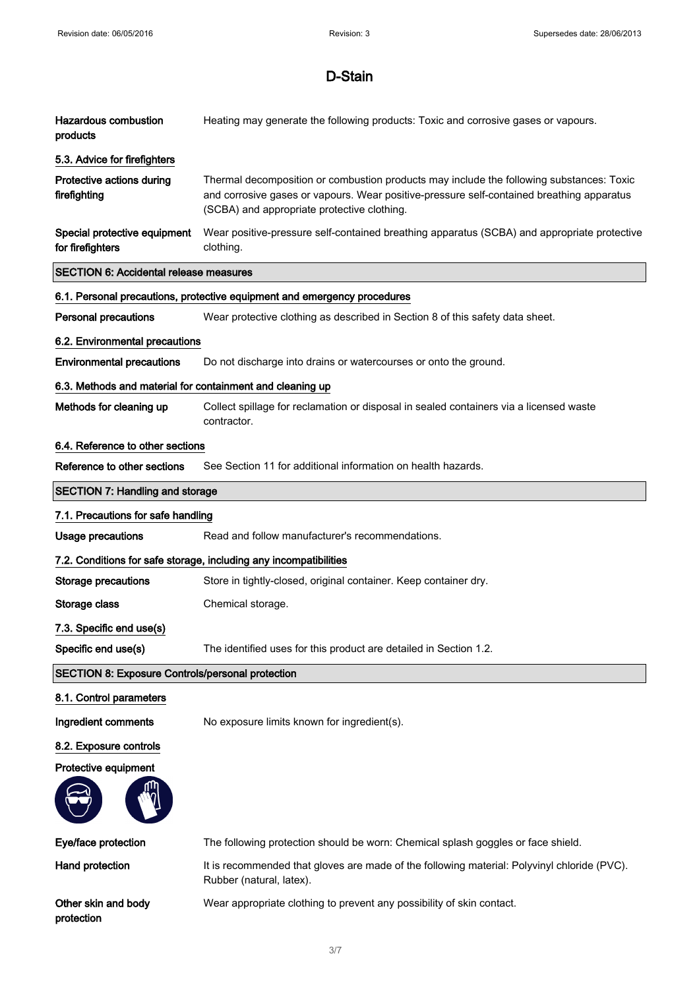| <b>Hazardous combustion</b><br>products                   | Heating may generate the following products: Toxic and corrosive gases or vapours.                                                                                                                                                   |
|-----------------------------------------------------------|--------------------------------------------------------------------------------------------------------------------------------------------------------------------------------------------------------------------------------------|
| 5.3. Advice for firefighters                              |                                                                                                                                                                                                                                      |
| Protective actions during<br>firefighting                 | Thermal decomposition or combustion products may include the following substances: Toxic<br>and corrosive gases or vapours. Wear positive-pressure self-contained breathing apparatus<br>(SCBA) and appropriate protective clothing. |
| Special protective equipment<br>for firefighters          | Wear positive-pressure self-contained breathing apparatus (SCBA) and appropriate protective<br>clothing.                                                                                                                             |
| <b>SECTION 6: Accidental release measures</b>             |                                                                                                                                                                                                                                      |
|                                                           | 6.1. Personal precautions, protective equipment and emergency procedures                                                                                                                                                             |
| <b>Personal precautions</b>                               | Wear protective clothing as described in Section 8 of this safety data sheet.                                                                                                                                                        |
| 6.2. Environmental precautions                            |                                                                                                                                                                                                                                      |
| <b>Environmental precautions</b>                          | Do not discharge into drains or watercourses or onto the ground.                                                                                                                                                                     |
| 6.3. Methods and material for containment and cleaning up |                                                                                                                                                                                                                                      |
| Methods for cleaning up                                   | Collect spillage for reclamation or disposal in sealed containers via a licensed waste<br>contractor.                                                                                                                                |
| 6.4. Reference to other sections                          |                                                                                                                                                                                                                                      |
| Reference to other sections                               | See Section 11 for additional information on health hazards.                                                                                                                                                                         |
| <b>SECTION 7: Handling and storage</b>                    |                                                                                                                                                                                                                                      |
| 7.1. Precautions for safe handling                        |                                                                                                                                                                                                                                      |
| <b>Usage precautions</b>                                  | Read and follow manufacturer's recommendations.                                                                                                                                                                                      |
|                                                           | 7.2. Conditions for safe storage, including any incompatibilities                                                                                                                                                                    |
| <b>Storage precautions</b>                                | Store in tightly-closed, original container. Keep container dry.                                                                                                                                                                     |
| Storage class                                             | Chemical storage.                                                                                                                                                                                                                    |
| 7.3. Specific end use(s)                                  |                                                                                                                                                                                                                                      |
| Specific end use(s)                                       | The identified uses for this product are detailed in Section 1.2.                                                                                                                                                                    |
| <b>SECTION 8: Exposure Controls/personal protection</b>   |                                                                                                                                                                                                                                      |
| 8.1. Control parameters                                   |                                                                                                                                                                                                                                      |
| Ingredient comments                                       | No exposure limits known for ingredient(s).                                                                                                                                                                                          |
| 8.2. Exposure controls                                    |                                                                                                                                                                                                                                      |
| Protective equipment                                      |                                                                                                                                                                                                                                      |
|                                                           |                                                                                                                                                                                                                                      |
| Eye/face protection                                       | The following protection should be worn: Chemical splash goggles or face shield.                                                                                                                                                     |
| <b>Hand protection</b>                                    | It is recommended that gloves are made of the following material: Polyvinyl chloride (PVC).<br>Rubber (natural, latex).                                                                                                              |
| Other skin and body<br>protection                         | Wear appropriate clothing to prevent any possibility of skin contact.                                                                                                                                                                |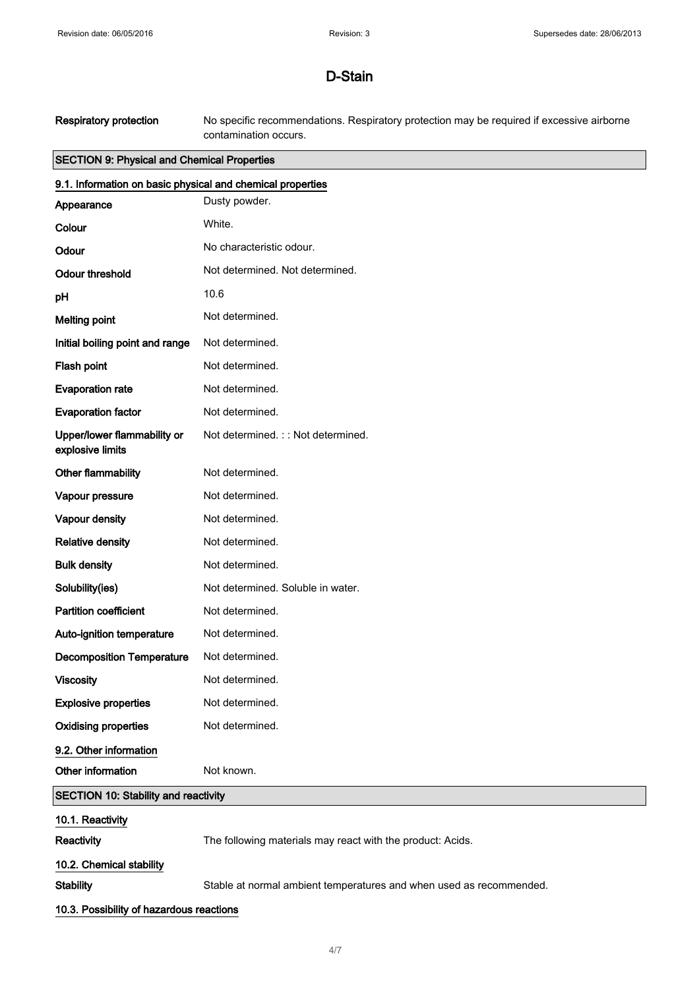Respiratory protection No specific recommendations. Respiratory protection may be required if excessive airborne contamination occurs.

### SECTION 9: Physical and Chemical Properties

| 9.1. Information on basic physical and chemical properties |                                                                     |
|------------------------------------------------------------|---------------------------------------------------------------------|
| Appearance                                                 | Dusty powder.                                                       |
| Colour                                                     | White.                                                              |
| Odour                                                      | No characteristic odour.                                            |
| <b>Odour threshold</b>                                     | Not determined. Not determined.                                     |
| pH                                                         | 10.6                                                                |
| <b>Melting point</b>                                       | Not determined.                                                     |
| Initial boiling point and range                            | Not determined.                                                     |
| Flash point                                                | Not determined.                                                     |
| <b>Evaporation rate</b>                                    | Not determined.                                                     |
| <b>Evaporation factor</b>                                  | Not determined.                                                     |
| Upper/lower flammability or<br>explosive limits            | Not determined.:: Not determined.                                   |
| Other flammability                                         | Not determined.                                                     |
| Vapour pressure                                            | Not determined.                                                     |
| Vapour density                                             | Not determined.                                                     |
| <b>Relative density</b>                                    | Not determined.                                                     |
| <b>Bulk density</b>                                        | Not determined.                                                     |
| Solubility(ies)                                            | Not determined. Soluble in water.                                   |
| <b>Partition coefficient</b>                               | Not determined.                                                     |
| Auto-ignition temperature                                  | Not determined.                                                     |
| <b>Decomposition Temperature</b>                           | Not determined.                                                     |
| <b>Viscosity</b>                                           | Not determined.                                                     |
| <b>Explosive properties</b>                                | Not determined.                                                     |
| <b>Oxidising properties</b>                                | Not determined.                                                     |
| 9.2. Other information                                     |                                                                     |
| Other information                                          | Not known.                                                          |
| <b>SECTION 10: Stability and reactivity</b>                |                                                                     |
| 10.1. Reactivity                                           |                                                                     |
| Reactivity                                                 | The following materials may react with the product: Acids.          |
| 10.2. Chemical stability                                   |                                                                     |
| <b>Stability</b>                                           | Stable at normal ambient temperatures and when used as recommended. |
| 10.3. Possibility of hazardous reactions                   |                                                                     |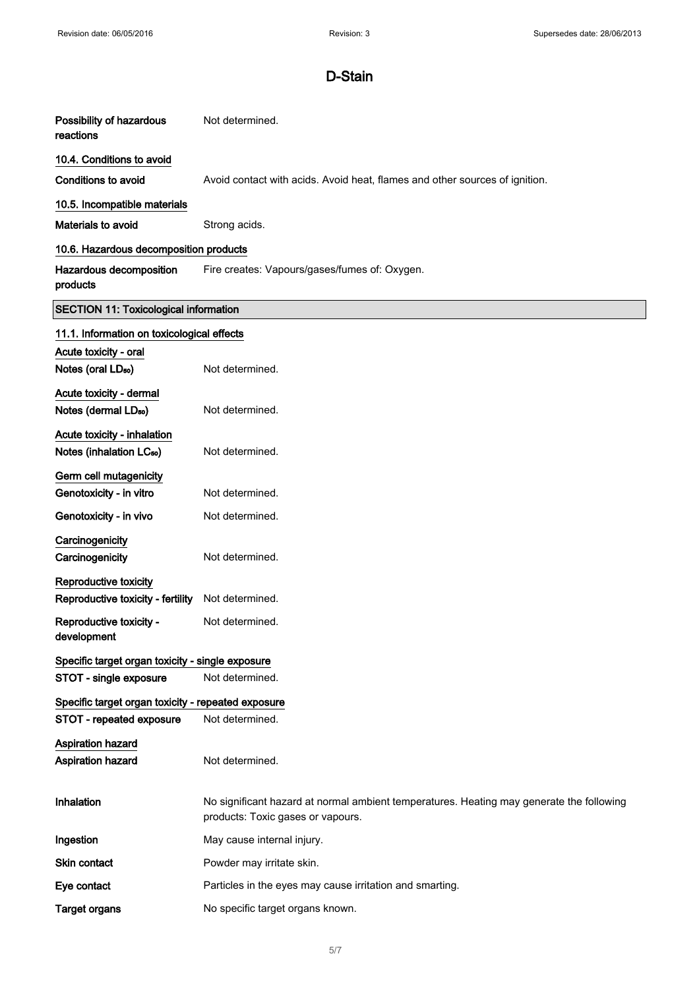| Possibility of hazardous<br>reactions                               | Not determined.                                                                                                               |  |
|---------------------------------------------------------------------|-------------------------------------------------------------------------------------------------------------------------------|--|
| 10.4. Conditions to avoid                                           |                                                                                                                               |  |
| <b>Conditions to avoid</b>                                          | Avoid contact with acids. Avoid heat, flames and other sources of ignition.                                                   |  |
| 10.5. Incompatible materials                                        |                                                                                                                               |  |
| Materials to avoid                                                  | Strong acids.                                                                                                                 |  |
| 10.6. Hazardous decomposition products                              |                                                                                                                               |  |
| Hazardous decomposition<br>products                                 | Fire creates: Vapours/gases/fumes of: Oxygen.                                                                                 |  |
| <b>SECTION 11: Toxicological information</b>                        |                                                                                                                               |  |
| 11.1. Information on toxicological effects                          |                                                                                                                               |  |
| Acute toxicity - oral<br>Notes (oral LD <sub>50</sub> )             | Not determined.                                                                                                               |  |
| Acute toxicity - dermal<br>Notes (dermal LD <sub>50</sub> )         | Not determined.                                                                                                               |  |
| Acute toxicity - inhalation<br>Notes (inhalation LC <sub>50</sub> ) | Not determined.                                                                                                               |  |
| Germ cell mutagenicity                                              |                                                                                                                               |  |
| Genotoxicity - in vitro                                             | Not determined.                                                                                                               |  |
| Genotoxicity - in vivo                                              | Not determined.                                                                                                               |  |
| Carcinogenicity<br>Carcinogenicity                                  | Not determined.                                                                                                               |  |
| Reproductive toxicity                                               |                                                                                                                               |  |
| Reproductive toxicity - fertility                                   | Not determined.                                                                                                               |  |
| Reproductive toxicity -<br>development                              | Not determined.                                                                                                               |  |
| Specific target organ toxicity - single exposure                    |                                                                                                                               |  |
| STOT - single exposure                                              | Not determined.                                                                                                               |  |
| Specific target organ toxicity - repeated exposure                  |                                                                                                                               |  |
| STOT - repeated exposure                                            | Not determined.                                                                                                               |  |
| <b>Aspiration hazard</b>                                            |                                                                                                                               |  |
| Aspiration hazard                                                   | Not determined.                                                                                                               |  |
| Inhalation                                                          | No significant hazard at normal ambient temperatures. Heating may generate the following<br>products: Toxic gases or vapours. |  |
| Ingestion                                                           | May cause internal injury.                                                                                                    |  |
| Skin contact                                                        | Powder may irritate skin.                                                                                                     |  |
| Eye contact                                                         | Particles in the eyes may cause irritation and smarting.                                                                      |  |
| <b>Target organs</b>                                                | No specific target organs known.                                                                                              |  |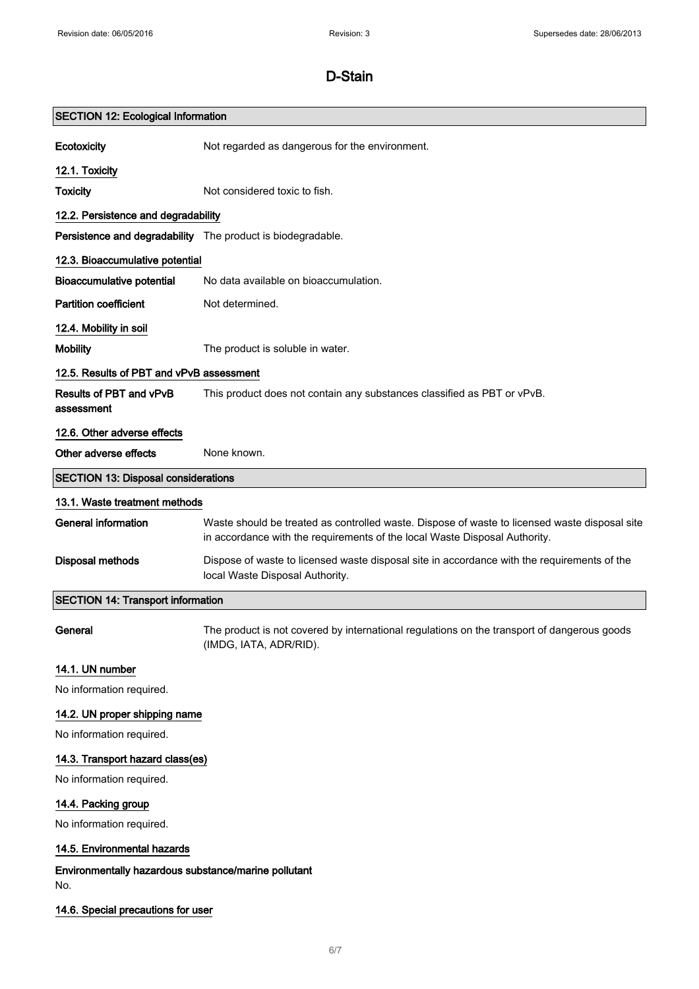| <b>SECTION 12: Ecological Information</b>                   |                                                                                                                                                                             |
|-------------------------------------------------------------|-----------------------------------------------------------------------------------------------------------------------------------------------------------------------------|
| Ecotoxicity                                                 | Not regarded as dangerous for the environment.                                                                                                                              |
| 12.1. Toxicity                                              |                                                                                                                                                                             |
| <b>Toxicity</b>                                             | Not considered toxic to fish.                                                                                                                                               |
| 12.2. Persistence and degradability                         |                                                                                                                                                                             |
| Persistence and degradability The product is biodegradable. |                                                                                                                                                                             |
| 12.3. Bioaccumulative potential                             |                                                                                                                                                                             |
| <b>Bioaccumulative potential</b>                            | No data available on bioaccumulation.                                                                                                                                       |
| <b>Partition coefficient</b>                                | Not determined.                                                                                                                                                             |
| 12.4. Mobility in soil                                      |                                                                                                                                                                             |
| <b>Mobility</b>                                             | The product is soluble in water.                                                                                                                                            |
| 12.5. Results of PBT and vPvB assessment                    |                                                                                                                                                                             |
| Results of PBT and vPvB<br>assessment                       | This product does not contain any substances classified as PBT or vPvB.                                                                                                     |
| 12.6. Other adverse effects                                 |                                                                                                                                                                             |
| Other adverse effects                                       | None known.                                                                                                                                                                 |
| <b>SECTION 13: Disposal considerations</b>                  |                                                                                                                                                                             |
| 13.1. Waste treatment methods                               |                                                                                                                                                                             |
| <b>General information</b>                                  | Waste should be treated as controlled waste. Dispose of waste to licensed waste disposal site<br>in accordance with the requirements of the local Waste Disposal Authority. |
| <b>Disposal methods</b>                                     | Dispose of waste to licensed waste disposal site in accordance with the requirements of the<br>local Waste Disposal Authority.                                              |
| <b>SECTION 14: Transport information</b>                    |                                                                                                                                                                             |
| General                                                     | The product is not covered by international regulations on the transport of dangerous goods<br>(IMDG, IATA, ADR/RID).                                                       |
| 14.1. UN number                                             |                                                                                                                                                                             |
| No information required.                                    |                                                                                                                                                                             |
| 14.2. UN proper shipping name                               |                                                                                                                                                                             |
| No information required.                                    |                                                                                                                                                                             |
| 14.3. Transport hazard class(es)                            |                                                                                                                                                                             |
| No information required.                                    |                                                                                                                                                                             |
| 14.4. Packing group                                         |                                                                                                                                                                             |
| No information required.                                    |                                                                                                                                                                             |
| 14.5. Environmental hazards                                 |                                                                                                                                                                             |
| Environmentally hazardous substance/marine pollutant<br>No. |                                                                                                                                                                             |
| 14.6. Special precautions for user                          |                                                                                                                                                                             |